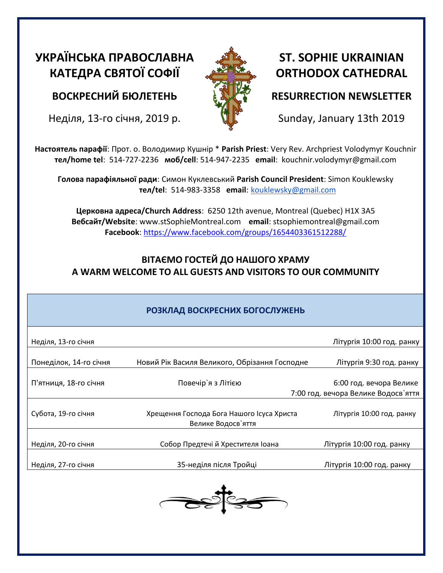# **УКРАЇНСЬКА ПРАВОСЛАВНА КАТЕДРА СВЯТОЇ СОФІЇ**

**ВОСКРЕСНИЙ БЮЛЕТЕНЬ**

Неділя, 13-го січня, 2019 р.



## **ST. SOPHIE UKRAINIAN ORTHODOX CATHEDRAL**

## **RESURRECTION NEWSLETTER**

Sunday, January 13th 2019

**Настоятель парафії**: Прот. о. Володимир Кушнір \* **Parish Priest**: Very Rev. Archpriest Volodymyr Kouchnir **тел/home tel**: 514-727-2236 **моб/cell**: 514-947-2235 **email**: kouchnir.volodymyr@gmail.com

**Голова парафіяльної ради**: Симон Куклевський **Parish Council President**: Simon Kouklewsky  **тел/tel**: 514-983-3358 **email**: kouklewsky@gmail.com

**Церковна адреса/Church Address**: 6250 12th avenue, Montreal (Quebec) H1X 3A5 **Вебсайт/Website**: www.stSophieMontreal.com **email**: stsophiemontreal@gmail.com **Facebook**:<https://www.facebook.com/groups/1654403361512288/>

## **ВІТАЄМО ГОСТЕЙ ДО НАШОГО ХРАМУ A WARM WELCOME TO ALL GUESTS AND VISITORS TO OUR COMMUNITY**

## **РОЗКЛАД ВОСКРЕСНИХ БОГОСЛУЖЕНЬ**

| Неділя, 13-го січня    |                                                                 | Літургія 10:00 год. ранку                                      |
|------------------------|-----------------------------------------------------------------|----------------------------------------------------------------|
| Понеділок, 14-го січня | Новий Рік Василя Великого, Обрізання Господне                   | Літургія 9:30 год. ранку                                       |
| П'ятниця, 18-го січня  | Повечір`я з Літією                                              | 6:00 год. вечора Велике<br>7:00 год. вечора Велике Водосв'яття |
| Субота, 19-го січня    | Хрещення Господа Бога Нашого Ісуса Христа<br>Велике Водосв'яття | Літургія 10:00 год. ранку                                      |
| Неділя, 20-го січня    | Собор Предтечі й Хрестителя Іоана                               | Літургія 10:00 год. ранку                                      |
| Неділя, 27-го січня    | 35-неділя після Тройці                                          | Літургія 10:00 год. ранку                                      |
|                        |                                                                 |                                                                |
|                        |                                                                 |                                                                |
|                        |                                                                 |                                                                |
|                        |                                                                 |                                                                |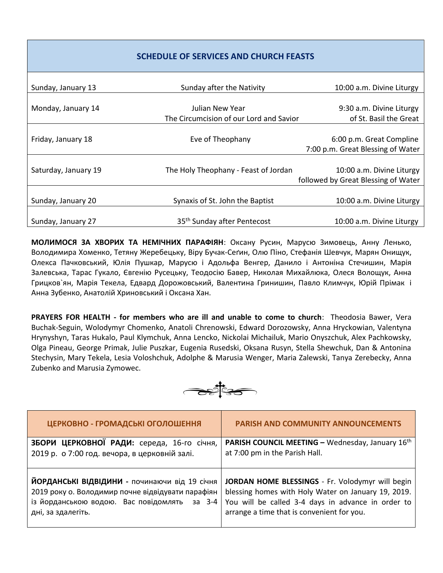#### **SCHEDULE OF SERVICES AND CHURCH FEASTS**

| Sunday, January 13   | Sunday after the Nativity               | 10:00 a.m. Divine Liturgy           |
|----------------------|-----------------------------------------|-------------------------------------|
|                      |                                         |                                     |
| Monday, January 14   | Julian New Year                         | 9:30 a.m. Divine Liturgy            |
|                      | The Circumcision of our Lord and Savior | of St. Basil the Great              |
|                      |                                         |                                     |
| Friday, January 18   | Eve of Theophany                        | 6:00 p.m. Great Compline            |
|                      |                                         | 7:00 p.m. Great Blessing of Water   |
|                      |                                         |                                     |
| Saturday, January 19 | The Holy Theophany - Feast of Jordan    | 10:00 a.m. Divine Liturgy           |
|                      |                                         | followed by Great Blessing of Water |
|                      |                                         |                                     |
| Sunday, January 20   | Synaxis of St. John the Baptist         | 10:00 a.m. Divine Liturgy           |
|                      |                                         |                                     |
| Sunday, January 27   | 35 <sup>th</sup> Sunday after Pentecost | 10:00 a.m. Divine Liturgy           |

**МОЛИМОСЯ ЗА ХВОРИХ ТА НЕМІЧНИХ ПАРАФІЯН**: Оксану Русин, Марусю Зимовець, Анну Ленько, Володимира Хоменко, Тетяну Жеребецьку, Віру Бучак-Сеґин, Олю Піно, Стефанія Шевчук, Марян Онищук, Олекса Пачковський, Юлія Пушкар, Марусю і Адольфа Венгер, Данило і Антоніна Стечишин, Марія Залевська, Тарас Гукало, Євгенію Русецьку, Теодосію Бавер, Николая Михайлюка, Олеся Волощук, Анна Грицков`ян, Марія Текела, Едвард Дорожовський, Валентина Гринишин, Павло Климчук, Юрій Прімак i Анна Зубенко, Анатолій Хриновський і Оксана Хан.

**PRAYERS FOR HEALTH - for members who are ill and unable to come to church**: Theodosia Bawer, Vera Buchak-Seguin, Wolodymyr Chomenko, Anatoli Chrenowski, Edward Dorozowsky, Anna Hryckowian, Valentyna Hrynyshyn, Taras Hukalo, Paul Klymchuk, Anna Lencko, Nickolai Michailuk, Mario Onyszchuk, Alex Pachkowsky, Olga Pineau, George Primak, Julie Puszkar, Eugenia Rusedski, Oksana Rusyn, Stella Shewchuk, Dan & Antonina Stechysin, Mary Tekela, Lesia Voloshchuk, Adolphe & Marusia Wenger, Maria Zalewski, Tanya Zerebecky, Anna Zubenko and Marusia Zymowec.

**BURGES** 

| ЦЕРКОВНО - ГРОМАДСЬКІ ОГОЛОШЕННЯ                                                                                                                                         | <b>PARISH AND COMMUNITY ANNOUNCEMENTS</b>                                                                                                                                                                   |
|--------------------------------------------------------------------------------------------------------------------------------------------------------------------------|-------------------------------------------------------------------------------------------------------------------------------------------------------------------------------------------------------------|
| ЗБОРИ ЦЕРКОВНОЇ РАДИ: середа, 16-го січня,                                                                                                                               | PARISH COUNCIL MEETING - Wednesday, January 16th                                                                                                                                                            |
| 2019 р. о 7:00 год. вечора, в церковній залі.                                                                                                                            | at 7:00 pm in the Parish Hall.                                                                                                                                                                              |
| ЙОРДАНСЬКІ ВІДВІДИНИ - починаючи від 19 січня<br>2019 року о. Володимир почне відвідувати парафіян<br>із йорданською водою. Вас повідомлять за 3-4<br>дні, за здалегіть. | JORDAN HOME BLESSINGS - Fr. Volodymyr will begin<br>blessing homes with Holy Water on January 19, 2019.<br>You will be called 3-4 days in advance in order to<br>arrange a time that is convenient for you. |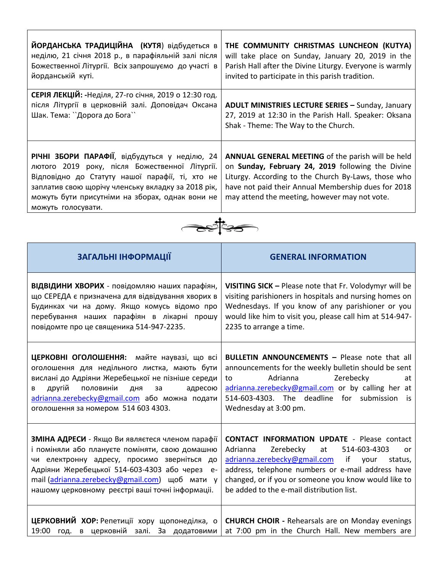| ЙОРДАНСЬКА ТРАДИЦІЙНА (КУТЯ) відбудеться в<br>неділю, 21 січня 2018 р., в парафіяльній залі після<br>Божественної Літургії. Всіх запрошуємо до участі в<br>йорданській куті.                                                                                                                            | THE COMMUNITY CHRISTMAS LUNCHEON (KUTYA)<br>will take place on Sunday, January 20, 2019 in the<br>Parish Hall after the Divine Liturgy. Everyone is warmly<br>invited to participate in this parish tradition.                                                                                                             |  |  |  |
|---------------------------------------------------------------------------------------------------------------------------------------------------------------------------------------------------------------------------------------------------------------------------------------------------------|----------------------------------------------------------------------------------------------------------------------------------------------------------------------------------------------------------------------------------------------------------------------------------------------------------------------------|--|--|--|
| СЕРІЯ ЛЕКЦІЙ: -Неділя, 27-го січня, 2019 о 12:30 год.<br>після Літургії в церковній залі. Доповідач Оксана<br>Шак. Тема: ``Дорога до Бога``                                                                                                                                                             | <b>ADULT MINISTRIES LECTURE SERIES - Sunday, January</b><br>27, 2019 at 12:30 in the Parish Hall. Speaker: Oksana<br>Shak - Theme: The Way to the Church.                                                                                                                                                                  |  |  |  |
| РІЧНІ ЗБОРИ ПАРАФІЇ, відбудуться у неділю, 24<br>лютого 2019 року, після Божественної Літургії.<br>Відповідно до Статуту нашої парафії, ті, хто не<br>заплатив свою щорічу членську вкладку за 2018 рік,<br>можуть бути присутніми на зборах, однак вони не<br>можуть голосувати.                       | ANNUAL GENERAL MEETING of the parish will be held<br>on Sunday, February 24, 2019 following the Divine<br>Liturgy. According to the Church By-Laws, those who<br>have not paid their Annual Membership dues for 2018<br>may attend the meeting, however may not vote.                                                      |  |  |  |
|                                                                                                                                                                                                                                                                                                         |                                                                                                                                                                                                                                                                                                                            |  |  |  |
| ЗАГАЛЬНІ ІНФОРМАЦІЇ                                                                                                                                                                                                                                                                                     | <b>GENERAL INFORMATION</b>                                                                                                                                                                                                                                                                                                 |  |  |  |
|                                                                                                                                                                                                                                                                                                         |                                                                                                                                                                                                                                                                                                                            |  |  |  |
| ВІДВІДИНИ ХВОРИХ - повідомляю наших парафіян,<br>що СЕРЕДА є призначена для відвідування хворих в<br>Будинках чи на дому. Якщо комусь відомо про<br>перебування наших парафіян в лікарні прошу<br>повідомте про це священика 514-947-2235.                                                              | VISITING SICK - Please note that Fr. Volodymyr will be<br>visiting parishioners in hospitals and nursing homes on<br>Wednesdays. If you know of any parishioner or you<br>would like him to visit you, please call him at 514-947-<br>2235 to arrange a time.                                                              |  |  |  |
| оголошення для недільного листка, мають бути<br>вислані до Адріяни Жеребецької не пізніше середи<br>половиніи<br>другій<br>дня<br>адресою<br>за<br>в<br>adrianna.zerebecky@gmail.com або можна подати<br>оголошення за номером 514 603 4303.                                                            | ЦЕРКОВНІ ОГОЛОШЕННЯ: майте наувазі, що всі   BULLETIN ANNOUNCEMENTS - Please note that all<br>announcements for the weekly bulletin should be sent<br>Adrianna<br>Zerebecky<br>to<br>at<br>adrianna.zerebecky@gmail.com or by calling her at<br>514-603-4303. The deadline for submission is<br>Wednesday at 3:00 pm.      |  |  |  |
| ЗМІНА АДРЕСИ - Якщо Ви являєтеся членом парафії<br>і поміняли або плануєте поміняти, свою домашню<br>чи електронну адресу, просимо зверніться до<br>Адріяни Жеребецької 514-603-4303 або через е-<br>mail (adrianna.zerebecky@gmail.com) щоб мати у<br>нашому церковному реєстрі ваші точні інформаціі. | <b>CONTACT INFORMATION UPDATE - Please contact</b><br>Adrianna<br>Zerebecky<br>514-603-4303<br>at<br>or<br>adrianna.zerebecky@gmail.com<br>if<br>your<br>status,<br>address, telephone numbers or e-mail address have<br>changed, or if you or someone you know would like to<br>be added to the e-mail distribution list. |  |  |  |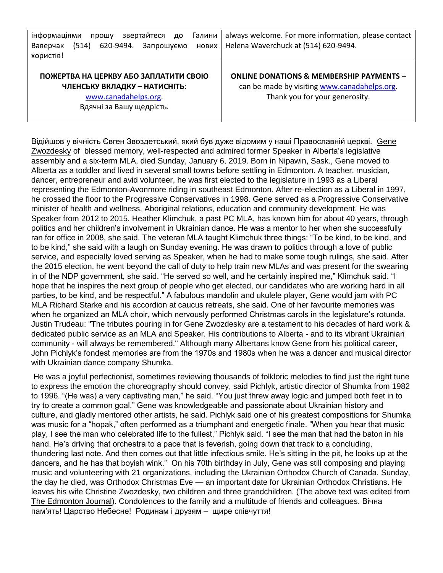| інформаціями<br>звертайтеся<br>Галини<br>до<br>прошу<br>(514)<br>620-9494.<br>Запрошуємо<br>Ваверчак<br><b>НОВИХ</b><br>хористів! | always welcome. For more information, please contact<br>Helena Waverchuck at (514) 620-9494.                                          |
|-----------------------------------------------------------------------------------------------------------------------------------|---------------------------------------------------------------------------------------------------------------------------------------|
| ПОЖЕРТВА НА ЦЕРКВУ АБО ЗАПЛАТИТИ СВОЮ<br>ЧЛЕНСЬКУ ВКЛАДКУ - НАТИСНІТЬ:<br>www.canadahelps.org.<br>Вдячні за Вашу щедрість.        | <b>ONLINE DONATIONS &amp; MEMBERSHIP PAYMENTS -</b><br>can be made by visiting www.canadahelps.org.<br>Thank you for your generosity. |

Відійшов у вічність Євген Звоздетський, який був дуже відомим у наші Православній церкві. Gene Zwozdesky of blessed memory, well-respected and admired former Speaker in Alberta's legislative assembly and a six-term MLA, died Sunday, January 6, 2019. Born in Nipawin, Sask., Gene moved to Alberta as a toddler and lived in several small towns before settling in Edmonton. A teacher, musician, dancer, entrepreneur and avid volunteer, he was first elected to the legislature in 1993 as a Liberal representing the Edmonton-Avonmore riding in southeast Edmonton. After re-election as a Liberal in 1997, he crossed the floor to the Progressive Conservatives in 1998. Gene served as a Progressive Conservative minister of health and wellness, Aboriginal relations, education and community development. He was Speaker from 2012 to 2015. Heather Klimchuk, a past PC MLA, has known him for about 40 years, through politics and her children's involvement in Ukrainian dance. He was a mentor to her when she successfully ran for office in 2008, she said. The veteran MLA taught Klimchuk three things: "To be kind, to be kind, and to be kind," she said with a laugh on Sunday evening. He was drawn to politics through a love of public service, and especially loved serving as Speaker, when he had to make some tough rulings, she said. After the 2015 election, he went beyond the call of duty to help train new MLAs and was present for the swearing in of the NDP government, she said. "He served so well, and he certainly inspired me," Klimchuk said. "I hope that he inspires the next group of people who get elected, our candidates who are working hard in all parties, to be kind, and be respectful." A fabulous mandolin and ukulele player, Gene would jam with PC MLA Richard Starke and his accordion at caucus retreats, she said. One of her favourite memories was when he organized an MLA choir, which nervously performed Christmas carols in the legislature's rotunda. Justin Trudeau: "The tributes pouring in for Gene Zwozdesky are a testament to his decades of hard work & dedicated public service as an MLA and Speaker. His contributions to Alberta - and to its vibrant Ukrainian community - will always be remembered." Although many Albertans know Gene from his political career, John Pichlyk's fondest memories are from the 1970s and 1980s when he was a dancer and musical director with Ukrainian dance company Shumka.

He was a joyful perfectionist, sometimes reviewing thousands of folkloric melodies to find just the right tune to express the emotion the choreography should convey, said Pichlyk, artistic director of Shumka from 1982 to 1996. "(He was) a very captivating man," he said. "You just threw away logic and jumped both feet in to try to create a common goal." Gene was knowledgeable and passionate about Ukrainian history and culture, and gladly mentored other artists, he said. Pichlyk said one of his greatest compositions for Shumka was music for a "hopak," often performed as a triumphant and energetic finale. "When you hear that music play, I see the man who celebrated life to the fullest," Pichlyk said. "I see the man that had the baton in his hand. He's driving that orchestra to a pace that is feverish, going down that track to a concluding, thundering last note. And then comes out that little infectious smile. He's sitting in the pit, he looks up at the dancers, and he has that boyish wink." On his 70th birthday in July, Gene was still composing and playing music and volunteering with 21 organizations, including the Ukrainian Orthodox Church of Canada. Sunday, the day he died, was Orthodox Christmas Eve — an important date for Ukrainian Orthodox Christians. He leaves his wife Christine Zwozdesky, two children and three grandchildren. (The above text was edited from The Edmonton Journal). Condolences to the family and a multitude of friends and colleagues. Вічна пам'ять! Царство Небесне! Родинам і друзям – щире співчуття!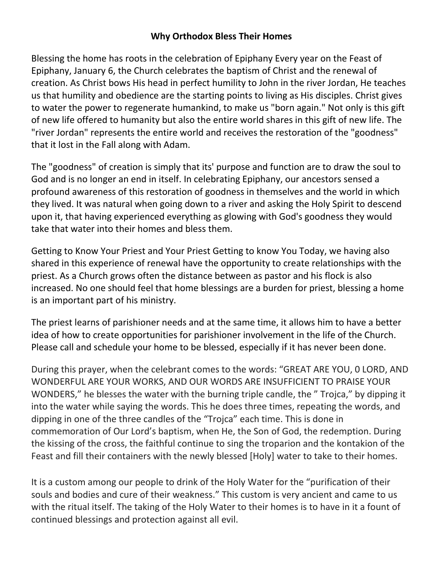#### **Why Orthodox Bless Their Homes**

Blessing the home has roots in the celebration of Epiphany Every year on the Feast of Epiphany, January 6, the Church celebrates the baptism of Christ and the renewal of creation. As Christ bows His head in perfect humility to John in the river Jordan, He teaches us that humility and obedience are the starting points to living as His disciples. Christ gives to water the power to regenerate humankind, to make us "born again." Not only is this gift of new life offered to humanity but also the entire world shares in this gift of new life. The "river Jordan" represents the entire world and receives the restoration of the "goodness" that it lost in the Fall along with Adam.

The "goodness" of creation is simply that its' purpose and function are to draw the soul to God and is no longer an end in itself. In celebrating Epiphany, our ancestors sensed a profound awareness of this restoration of goodness in themselves and the world in which they lived. It was natural when going down to a river and asking the Holy Spirit to descend upon it, that having experienced everything as glowing with God's goodness they would take that water into their homes and bless them.

Getting to Know Your Priest and Your Priest Getting to know You Today, we having also shared in this experience of renewal have the opportunity to create relationships with the priest. As a Church grows often the distance between as pastor and his flock is also increased. No one should feel that home blessings are a burden for priest, blessing a home is an important part of his ministry.

The priest learns of parishioner needs and at the same time, it allows him to have a better idea of how to create opportunities for parishioner involvement in the life of the Church. Please call and schedule your home to be blessed, especially if it has never been done.

During this prayer, when the celebrant comes to the words: "GREAT ARE YOU, 0 LORD, AND WONDERFUL ARE YOUR WORKS, AND OUR WORDS ARE INSUFFICIENT TO PRAISE YOUR WONDERS," he blesses the water with the burning triple candle, the " Trojca," by dipping it into the water while saying the words. This he does three times, repeating the words, and dipping in one of the three candles of the "Trojca" each time. This is done in commemoration of Our Lord's baptism, when He, the Son of God, the redemption. During the kissing of the cross, the faithful continue to sing the troparion and the kontakion of the Feast and fill their containers with the newly blessed [Holy] water to take to their homes.

It is a custom among our people to drink of the Holy Water for the "purification of their souls and bodies and cure of their weakness." This custom is very ancient and came to us with the ritual itself. The taking of the Holy Water to their homes is to have in it a fount of continued blessings and protection against all evil.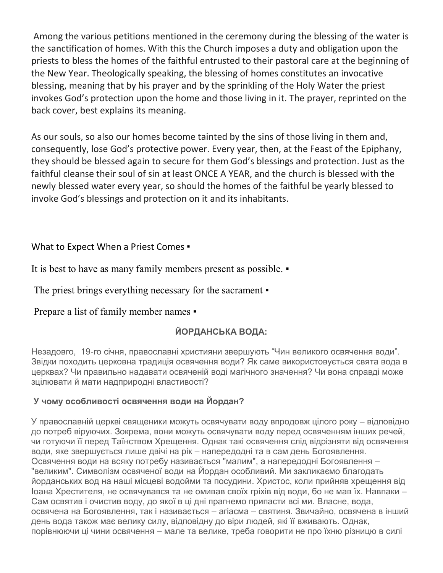Among the various petitions mentioned in the ceremony during the blessing of the water is the sanctification of homes. With this the Church imposes a duty and obligation upon the priests to bless the homes of the faithful entrusted to their pastoral care at the beginning of the New Year. Theologically speaking, the blessing of homes constitutes an invocative blessing, meaning that by his prayer and by the sprinkling of the Holy Water the priest invokes God's protection upon the home and those living in it. The prayer, reprinted on the back cover, best explains its meaning.

As our souls, so also our homes become tainted by the sins of those living in them and, consequently, lose God's protective power. Every year, then, at the Feast of the Epiphany, they should be blessed again to secure for them God's blessings and protection. Just as the faithful cleanse their soul of sin at least ONCE A YEAR, and the church is blessed with the newly blessed water every year, so should the homes of the faithful be yearly blessed to invoke God's blessings and protection on it and its inhabitants.

#### What to Expect When a Priest Comes .

It is best to have as many family members present as possible. ▪

The priest brings everything necessary for the sacrament  $\bullet$ 

## Prepare a list of family member names •

## **ЙОРДАНСЬКА ВОДА:**

Незадовго, 19-го січня, православні християни звершують "Чин великого освячення води". Звідки походить церковна традиція освячення води? Як саме використовується свята вода в церквах? Чи правильно надавати освяченій воді магічного значення? Чи вона справді може зцілювати й мати надприродні властивості?

#### **У чому особливості освячення води на Йордан?**

У православній церкві священики можуть освячувати воду впродовж цілого року – відповідно до потреб віруючих. Зокрема, вони можуть освячувати воду перед освяченням інших речей, чи готуючи її перед Таїнством Хрещення. Однак такі освячення слід відрізняти від освячення води, яке звершується лише двічі на рік – напередодні та в сам день Богоявлення. Освячення води на всяку потребу називається "малим", а напередодні Богоявлення – "великим". Символізм освяченої води на Йордан особливий. Ми закликаємо благодать йорданських вод на наші місцеві водойми та посудини. Христос, коли прийняв хрещення від Іоана Хрестителя, не освячувався та не омивав своїх гріхів від води, бо не мав їх. Навпаки – Сам освятив і очистив воду, до якої в ці дні прагнемо припасти всі ми. Власне, вода, освячена на Богоявлення, так і називається – агіасма – святиня. Звичайно, освячена в інший день вода також має велику силу, відповідну до віри людей, які її вживають. Однак, порівнюючи ці чини освячення – мале та велике, треба говорити не про їхню різницю в силі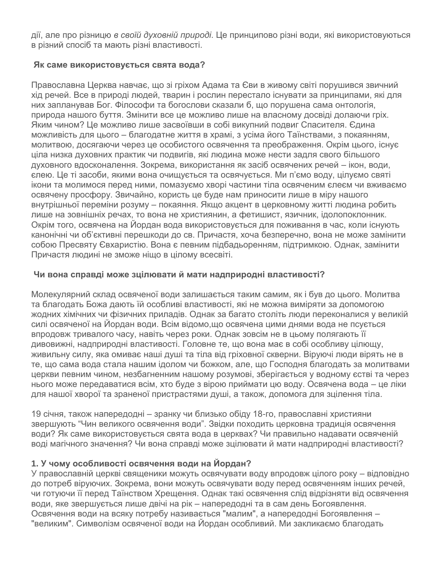дії, але про різницю *в своїй духовній природі*. Це принципово різні води, які використовуються в різний спосіб та мають різні властивості.

#### **Як саме використовується свята вода?**

Православна Церква навчає, що зі гріхом Адама та Єви в живому світі порушився звичний хід речей. Все в природі людей, тварин і рослин перестало існувати за принципами, які для них запланував Бог. Філософи та богослови сказали б, що порушена сама онтологія, природа нашого буття. Змінити все це можливо лише на власному досвіді долаючи гріх. Яким чином? Це можливо лише засвоївши в собі викупний подвиг Спасителя. Єдина можливість для цього – благодатне життя в храмі, з усіма його Таїнствами, з покаянням, молитвою, досягаючи через це особистого освячення та преображення. Окрім цього, існує ціла низка духовних практик чи подвигів, які людина може нести задля свого більшого духовного вдосконалення. Зокрема, використання як засіб освячених речей – ікон, води, єлею. Це ті засоби, якими вона очищується та освячується. Ми п'ємо воду, цілуємо святі ікони та молимося перед ними, помазуємо хворі частини тіла освяченим єлеєм чи вживаємо освячену просфору. Звичайно, користь це буде нам приносити лише в міру нашого внутрішньої переміни розуму – покаяння. Якщо акцент в церковному житті людина робить лише на зовнішніх речах, то вона не християнин, а фетишист, язичник, ідолопоклонник. Окрім того, освячена на Йордан вода використовується для поживання в час, коли існують канонічні чи об'єктивні перешкоди до св. Причастя, хоча безперечно, вона не може замінити собою Пресвяту Євхаристію. Вона є певним підбадьоренням, підтримкою. Однак, замінити Причастя людині не зможе ніщо в цілому всесвіті.

#### **Чи вона справді може зцілювати й мати надприродні властивості?**

Молекулярний склад освяченої води залишається таким самим, як і був до цього. Молитва та благодать Божа дають їй особливі властивості, які не можна виміряти за допомогою жодних хімічних чи фізичних приладів. Однак за багато століть люди переконалися у великій силі освяченої на Йордан води. Всім відомо,що освячена цими днями вода не псується впродовж тривалого часу, навіть через роки. Однак зовсім не в цьому полягають її дивовижні, надприродні властивості. Головне те, що вона має в собі особливу цілющу, живильну силу, яка омиває наші душі та тіла від гріховної скверни. Віруючі люди вірять не в те, що сама вода стала нашим ідолом чи божком, але, що Господня благодать за молитвами церкви певним чином, незбагненним нашому розумові, зберігається у водному єстві та через нього може передаватися всім, хто буде з вірою приймати цю воду. Освячена вода – це ліки для нашої хворої та зраненої пристрастями душі, а також, допомога для зцілення тіла.

19 січня, також напередодні – зранку чи близько обіду 18-го, православні християни звершують "Чин великого освячення води". Звідки походить церковна традиція освячення води? Як саме використовується свята вода в церквах? Чи правильно надавати освяченій воді магічного значення? Чи вона справді може зцілювати й мати надприродні властивості?

#### **1. У чому особливості освячення води на Йордан?**

У православній церкві священики можуть освячувати воду впродовж цілого року – відповідно до потреб віруючих. Зокрема, вони можуть освячувати воду перед освяченням інших речей, чи готуючи її перед Таїнством Хрещення. Однак такі освячення слід відрізняти від освячення води, яке звершується лише двічі на рік – напередодні та в сам день Богоявлення. Освячення води на всяку потребу називається "малим", а напередодні Богоявлення – "великим". Символізм освяченої води на Йордан особливий. Ми закликаємо благодать